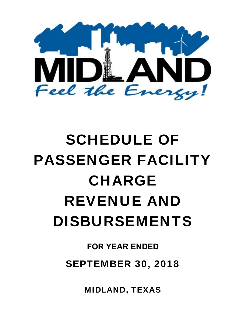

# SCHEDULE OF PASSENGER FACILITY CHARGE REVENUE AND DISBURSEMENTS

**FOR YEAR ENDED** 

SEPTEMBER 30, 2018

MIDLAND, TEXAS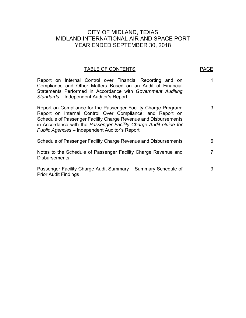## CITY OF MIDLAND, TEXAS MIDLAND INTERNATIONAL AIR AND SPACE PORT YEAR ENDED SEPTEMBER 30, 2018

| <b>TABLE OF CONTENTS</b>                                                                                                                                                                                                                                                                                              | PAGE           |
|-----------------------------------------------------------------------------------------------------------------------------------------------------------------------------------------------------------------------------------------------------------------------------------------------------------------------|----------------|
| Report on Internal Control over Financial Reporting and on<br>Compliance and Other Matters Based on an Audit of Financial<br>Statements Performed in Accordance with Government Auditing<br>Standards - Independent Auditor's Report                                                                                  | 1              |
| Report on Compliance for the Passenger Facility Charge Program;<br>Report on Internal Control Over Compliance; and Report on<br>Schedule of Passenger Facility Charge Revenue and Disbursements<br>in Accordance with the Passenger Facility Charge Audit Guide for<br>Public Agencies - Independent Auditor's Report | 3              |
| Schedule of Passenger Facility Charge Revenue and Disbursements                                                                                                                                                                                                                                                       | 6              |
| Notes to the Schedule of Passenger Facility Charge Revenue and<br><b>Disbursements</b>                                                                                                                                                                                                                                | $\overline{7}$ |
| Passenger Facility Charge Audit Summary – Summary Schedule of<br><b>Prior Audit Findings</b>                                                                                                                                                                                                                          | 9              |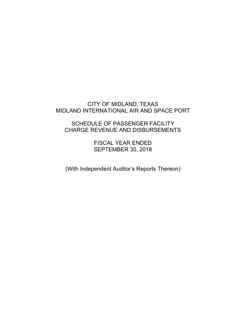## CITY OF MIDLAND, TEXAS MIDLAND INTERNATIONAL AIR AND SPACE PORT

## SCHEDULE OF PASSENGER FACILITY CHARGE REVENUE AND DISBURSEMENTS

FISCAL YEAR ENDED SEPTEMBER 30, 2018

(With Independent Auditor's Reports Thereon)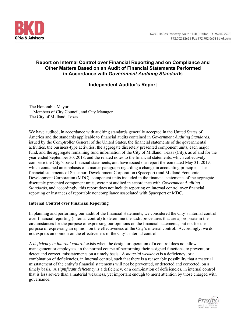

#### **Report on Internal Control over Financial Reporting and on Compliance and Other Matters Based on an Audit of Financial Statements Performed in Accordance with** *Government Auditing Standards*

## **Independent Auditor's Report**

The Honorable Mayor, Members of City Council, and City Manager The City of Midland, Texas

We have audited, in accordance with auditing standards generally accepted in the United States of America and the standards applicable to financial audits contained in *Government Auditing Standards*, issued by the Comptroller General of the United States, the financial statements of the governmental activities, the business-type activities, the aggregate discretely presented component units, each major fund, and the aggregate remaining fund information of the City of Midland, Texas (City), as of and for the year ended September 30, 2018, and the related notes to the financial statements, which collectively comprise the City's basic financial statements, and have issued our report thereon dated May 31, 2019, which contained an emphasis of a matter paragraph regarding a change in accounting principle. The financial statements of Spaceport Development Corporation (Spaceport) and Midland Economic Development Corporation (MDC), component units included in the financial statements of the aggregate discretely presented component units, were not audited in accordance with *Government Auditing Standards*, and accordingly, this report does not include reporting on internal control over financial reporting or instances of reportable noncompliance associated with Spaceport or MDC.

#### **Internal Control over Financial Reporting**

In planning and performing our audit of the financial statements, we considered the City's internal control over financial reporting (internal control) to determine the audit procedures that are appropriate in the circumstances for the purpose of expressing our opinions on the financial statements, but not for the purpose of expressing an opinion on the effectiveness of the City's internal control. Accordingly, we do not express an opinion on the effectiveness of the City's internal control.

A *deficiency in internal control* exists when the design or operation of a control does not allow management or employees, in the normal course of performing their assigned functions, to prevent, or detect and correct, misstatements on a timely basis. A *material weakness* is a deficiency, or a combination of deficiencies, in internal control, such that there is a reasonable possibility that a material misstatement of the entity's financial statements will not be prevented, or detected and corrected, on a timely basis. A *significant deficiency* is a deficiency, or a combination of deficiencies, in internal control that is less severe than a material weakness, yet important enough to merit attention by those charged with governance.

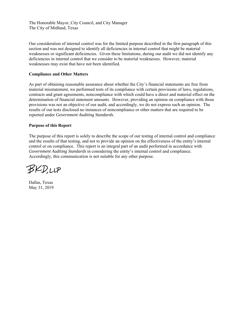The Honorable Mayor, City Council, and City Manager The City of Midland, Texas

Our consideration of internal control was for the limited purpose described in the first paragraph of this section and was not designed to identify all deficiencies in internal control that might be material weaknesses or significant deficiencies. Given these limitations, during our audit we did not identify any deficiencies in internal control that we consider to be material weaknesses. However, material weaknesses may exist that have not been identified.

#### **Compliance and Other Matters**

As part of obtaining reasonable assurance about whether the City's financial statements are free from material misstatement, we performed tests of its compliance with certain provisions of laws, regulations, contracts and grant agreements, noncompliance with which could have a direct and material effect on the determination of financial statement amounts. However, providing an opinion on compliance with those provisions was not an objective of our audit, and accordingly, we do not express such an opinion. The results of our tests disclosed no instances of noncompliance or other matters that are required to be reported under *Government Auditing Standards*.

#### **Purpose of this Report**

The purpose of this report is solely to describe the scope of our testing of internal control and compliance and the results of that testing, and not to provide an opinion on the effectiveness of the entity's internal control or on compliance. This report is an integral part of an audit performed in accordance with *Government Auditing Standards* in considering the entity's internal control and compliance. Accordingly, this communication is not suitable for any other purpose.

**BKD,LLP** 

Dallas, Texas May 31, 2019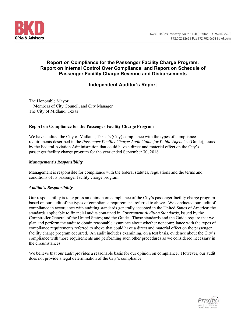

## **Report on Compliance for the Passenger Facility Charge Program, Report on Internal Control Over Compliance; and Report on Schedule of Passenger Facility Charge Revenue and Disbursements**

## **Independent Auditor's Report**

The Honorable Mayor, Members of City Council, and City Manager The City of Midland, Texas

#### **Report on Compliance for the Passenger Facility Charge Program**

We have audited the City of Midland, Texas's (City) compliance with the types of compliance requirements described in the *Passenger Facility Charge Audit Guide for Public Agencies* (Guide), issued by the Federal Aviation Administration that could have a direct and material effect on the City's passenger facility charge program for the year ended September 30, 2018.

#### *Management's Responsibility*

Management is responsible for compliance with the federal statutes, regulations and the terms and conditions of its passenger facility charge program.

#### *Auditor's Responsibility*

Our responsibility is to express an opinion on compliance of the City's passenger facility charge program based on our audit of the types of compliance requirements referred to above. We conducted our audit of compliance in accordance with auditing standards generally accepted in the United States of America; the standards applicable to financial audits contained in *Government Auditing Standards*, issued by the Comptroller General of the United States; and the Guide. Those standards and the Guide require that we plan and perform the audit to obtain reasonable assurance about whether noncompliance with the types of compliance requirements referred to above that could have a direct and material effect on the passenger facility charge program occurred. An audit includes examining, on a test basis, evidence about the City's compliance with those requirements and performing such other procedures as we considered necessary in the circumstances.

We believe that our audit provides a reasonable basis for our opinion on compliance. However, our audit does not provide a legal determination of the City's compliance.

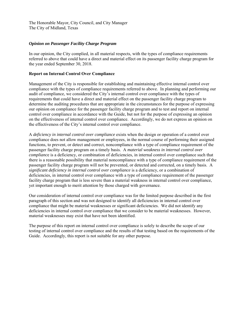The Honorable Mayor, City Council, and City Manager The City of Midland, Texas

#### *Opinion on Passenger Facility Charge Program*

In our opinion, the City complied, in all material respects, with the types of compliance requirements referred to above that could have a direct and material effect on its passenger facility charge program for the year ended September 30, 2018.

#### **Report on Internal Control Over Compliance**

Management of the City is responsible for establishing and maintaining effective internal control over compliance with the types of compliance requirements referred to above. In planning and performing our audit of compliance, we considered the City's internal control over compliance with the types of requirements that could have a direct and material effect on the passenger facility charge program to determine the auditing procedures that are appropriate in the circumstances for the purpose of expressing our opinion on compliance for the passenger facility charge program and to test and report on internal control over compliance in accordance with the Guide, but not for the purpose of expressing an opinion on the effectiveness of internal control over compliance. Accordingly, we do not express an opinion on the effectiveness of the City's internal control over compliance.

A *deficiency in internal control over compliance* exists when the design or operation of a control over compliance does not allow management or employees, in the normal course of performing their assigned functions, to prevent, or detect and correct, noncompliance with a type of compliance requirement of the passenger facility charge program on a timely basis. A *material weakness in internal control over complianc*e is a deficiency, or combination of deficiencies, in internal control over compliance such that there is a reasonable possibility that material noncompliance with a type of compliance requirement of the passenger facility charge program will not be prevented, or detected and corrected, on a timely basis. A *significant deficiency in internal control over compliance* is a deficiency, or a combination of deficiencies, in internal control over compliance with a type of compliance requirement of the passenger facility charge program that is less severe than a material weakness in internal control over compliance, yet important enough to merit attention by those charged with governance.

Our consideration of internal control over compliance was for the limited purpose described in the first paragraph of this section and was not designed to identify all deficiencies in internal control over compliance that might be material weaknesses or significant deficiencies. We did not identify any deficiencies in internal control over compliance that we consider to be material weaknesses. However, material weaknesses may exist that have not been identified.

The purpose of this report on internal control over compliance is solely to describe the scope of our testing of internal control over compliance and the results of that testing based on the requirements of the Guide. Accordingly, this report is not suitable for any other purpose.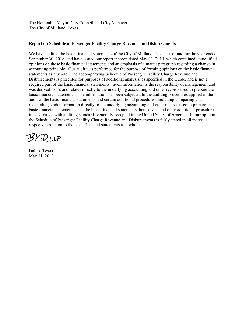The Honorable Mayor, City Council, and City Manager The City of Midland, Texas

#### **Report on Schedule of Passenger Facility Charge Revenue and Disbursements**

We have audited the basic financial statements of the City of Midland, Texas, as of and for the year ended September 30, 2018, and have issued our report thereon dated May 31, 2019, which contained unmodified opinions on those basic financial statements and an emphasis of a matter paragraph regarding a change in accounting principle. Our audit was performed for the purpose of forming opinions on the basic financial statements as a whole. The accompanying Schedule of Passenger Facility Charge Revenue and Disbursements is presented for purposes of additional analysis, as specified in the Guide, and is not a required part of the basic financial statements. Such information is the responsibility of management and was derived from, and relates directly to the underlying accounting and other records used to prepare the basic financial statements. The information has been subjected to the auditing procedures applied in the audit of the basic financial statements and certain additional procedures, including comparing and reconciling such information directly to the underlying accounting and other records used to prepare the basic financial statements or to the basic financial statements themselves, and other additional procedures in accordance with auditing standards generally accepted in the United States of America. In our opinion, the Schedule of Passenger Facility Charge Revenue and Disbursements is fairly stated in all material respects in relation to the basic financial statements as a whole.

BKD,LLP

Dallas, Texas May 31, 2019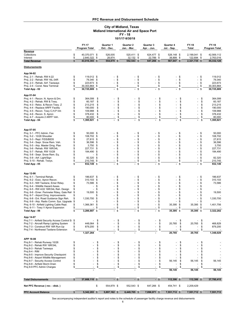#### **10/1/17-9/30/18 Midland International Air and Space Port City of Midland, Texas FY - 18**

|                                                                                    |                    | <b>FY-17</b><br><b>Program Total</b> |          | Quarter 1<br>Oct. - Dec.                   |          | Quarter 2<br>Jan. - Mar. |          | Quarter 3<br>Apr. - Jun. |          | Quarter 4<br>Jul. - Sep.       |            | FY-18<br>Total                     |          | <b>FY-18</b><br>Program Total |
|------------------------------------------------------------------------------------|--------------------|--------------------------------------|----------|--------------------------------------------|----------|--------------------------|----------|--------------------------|----------|--------------------------------|------------|------------------------------------|----------|-------------------------------|
| Revenue<br>Collections                                                             | \$                 | 40,370,071 \$                        |          | 526,005                                    |          | 520,411 \$               |          | 624,477 \$               |          | 528,148 \$                     |            | 2,199,041 \$                       |          | 42,569,112                    |
| Interest<br><b>Total Revenue</b>                                                   | \$<br>$\mathbb{S}$ | 2,640,322 \$<br>43,010,393 \$        |          | 28,874<br>554,879 \$                       |          | 32,132 \$<br>552,543 \$  |          | 22,789 \$<br>647,266 \$  |          | 38,899 \$<br>567,047 \$        |            | 122,694 \$<br>2,321,735 \$         |          | 2,763,016<br>45,332,128       |
|                                                                                    |                    |                                      |          |                                            |          |                          |          |                          |          |                                |            |                                    |          |                               |
| <b>Disbursements</b>                                                               |                    |                                      |          |                                            |          |                          |          |                          |          |                                |            |                                    |          |                               |
| App 94-02                                                                          |                    | 119,012 \$                           |          |                                            | \$       |                          | \$       |                          | \$       |                                | \$         |                                    | \$       | 119,012                       |
| Proj. 2-1 - Rehab. RW 4-22<br>Proj. 2-2 - Rehab. RW 16L-34R                        | \$<br>\$           | 79,340 \$                            |          | ä,                                         | \$       |                          | \$       |                          | \$       | $\sim$                         | \$         | $\blacksquare$                     | \$       | 79,340                        |
| Proj. 2-3 - Rehab. Airf. Taxiways<br>Proj. 2-4 - Const. New Terminal               | \$<br>\$           | 223,673 \$<br>30,303,864 \$          |          | ÷.                                         | \$<br>\$ | ÷                        | \$<br>\$ | a.                       | \$<br>\$ | ÷.                             | \$<br>\$   | $-$ \$<br>$\sim$                   | \$       | 223,673<br>30,303,864         |
| Total App - 02                                                                     | \$                 | 30,725,889 \$                        |          |                                            | \$       |                          | \$       | ÷.                       | \$       |                                | - \$       | $\blacksquare$                     | \$       | 30,725,889                    |
| App 01-04                                                                          |                    |                                      |          |                                            |          |                          |          |                          |          |                                |            |                                    |          |                               |
| Proj. 4-1 - Recon. N. Apron & Drn.                                                 | \$                 | 364,099                              | \$       |                                            | \$       |                          | \$       |                          |          | \$                             | \$         |                                    | \$       | 364,099                       |
| Proj. 4-2 - Rehab. RW & Txwy.                                                      | \$                 | 60,187                               | \$       |                                            | \$       |                          | \$       |                          |          | \$                             | \$         |                                    | \$       | 60,187                        |
| Proj. 4-3 - Reloc. & Recon Txwy. Z<br>Proj. 4-4 - Replace ARFF Facility            | \$<br>\$           | 213,215<br>190,000                   | \$<br>\$ | ä,                                         | \$<br>\$ |                          | \$<br>\$ |                          |          | \$<br>\$                       | \$<br>\$   |                                    | \$<br>\$ | 213,215<br>190,000            |
| Proj. 4-5 - Recon. Txwy C,H,P Intr.                                                | \$                 | 109,988                              | \$       |                                            | \$       |                          | \$       |                          |          | \$                             | \$         | $\sim$                             | \$       | 109,988                       |
| Proj. 4-6 - Recon. S. Apron                                                        | \$                 | 378,432                              | \$       |                                            | \$       |                          | \$       |                          |          | \$                             | \$         |                                    | \$       | 378,432                       |
| Proj. 4-7 - Acquire 2 ARFF Veh.                                                    | \$                 | 80,000                               | \$       |                                            | \$       |                          | \$       |                          |          | \$                             | \$         |                                    | \$       | 80,000                        |
| Total App - 04                                                                     | \$                 | 1,395,921 \$                         |          |                                            | \$       |                          | \$       | $\mathbf{r}$             |          | \$<br>$\blacksquare$           | \$         | $\blacksquare$                     | \$       | 1,395,921                     |
|                                                                                    |                    |                                      |          |                                            |          |                          |          |                          |          |                                |            |                                    |          |                               |
| App 07-05<br>Proj. 5-1 - PFC Admin. Fee                                            | \$                 | 50,000 \$                            |          | ٠                                          | \$       |                          | \$       |                          | \$       |                                | \$         |                                    | \$       | 50,000                        |
| Proj. 5-2 - 10/28 Shoulder                                                         | \$                 | 108,702 \$                           |          | ä,                                         | \$       |                          | \$       |                          | \$       | ÷.                             | \$         | $\blacksquare$                     | \$       | 108,702                       |
| Proj. 5-3 - Repl. FIDS/BIDS                                                        | \$                 | 27,815 \$                            |          |                                            | \$       |                          | \$       |                          | \$       |                                | \$         | $\blacksquare$                     | \$       | 27,815                        |
| Proj. 5-4 - Swpr. Snow Rem. Veh.                                                   | \$                 | 36,596 \$                            |          |                                            | \$       |                          | \$       |                          | \$       |                                | \$         | $\overline{\phantom{a}}$           | \$       | 36,596                        |
| Proj. 5-5 - Airp. Master Drng. Plan<br>Proj. 5-6 - Rehab. RW 16R/34L               | \$<br>\$           | 3,750<br>227,731 \$                  | \$       |                                            | \$<br>\$ |                          | \$<br>\$ |                          | \$<br>\$ |                                | \$<br>\$   | $\sim$                             | \$<br>\$ | 3,750<br>227,731              |
| Proj. 5-7 - Rehab. RW 10/28                                                        | \$                 | 184,490 \$                           |          | ÷                                          | \$       |                          | \$       |                          | \$       | ÷                              | \$         | $\overline{\phantom{a}}$           | \$       | 184,490                       |
| Proj. 5-8 - Swpr. Snow Rem. Eq.                                                    | \$                 | $\blacksquare$                       | \$       | ٠                                          | \$       |                          | \$       |                          | \$       | $\overline{a}$                 | \$         | $\sim$                             | \$       |                               |
| Proj. 5-9 - Airf. Light/Sign                                                       | \$                 | 82,320 \$                            |          | ä,                                         | \$       |                          | \$       |                          | \$       | ä,                             | \$         | ÷,                                 | \$       | 82,320                        |
| Proj. 5-10 - Rehab. Txwys.<br>Total App - 05                                       | \$<br>\$           | 210,745<br>932,149 \$                | \$       | $\overline{\phantom{a}}$<br>$\blacksquare$ | \$<br>\$ | $\overline{a}$           | \$<br>\$ | $\blacksquare$           | \$<br>\$ | $\frac{1}{2}$                  | \$<br>- \$ | $\blacksquare$                     | \$<br>\$ | 210,745<br>932,149            |
|                                                                                    |                    |                                      |          |                                            |          |                          |          |                          |          |                                |            |                                    |          |                               |
| App 12-06                                                                          |                    |                                      |          |                                            |          |                          |          |                          |          |                                |            |                                    |          |                               |
| Proj. 6-1 - Terminal Rehab.<br>Proj. 6-2 - Exec. Apron Recon.                      | \$<br>\$           | 186,637 \$<br>310,103 \$             |          |                                            | \$<br>\$ |                          | \$<br>\$ |                          | \$<br>\$ |                                | \$<br>\$   | - \$<br>$\overline{\phantom{a}}$   | \$       | 186,637<br>310,103            |
| Proj. 6-3 - NW Taxilane, Emer Rdwy.                                                | \$                 | 73,586                               | - \$     | ÷                                          | \$       |                          | \$       |                          | \$       | $\sim$                         | \$         | $\blacksquare$                     | \$       | 73,586                        |
| Proj. 6-4 - Wildlife Hazard Asses.                                                 | \$                 | $\overline{\phantom{a}}$             | \$       |                                            | \$       |                          | \$       |                          | \$       |                                | \$         |                                    | \$       | $\overline{\phantom{a}}$      |
| Proj. 6-5 - RW 4/22 16R/34L Reh. Design                                            | \$                 | $\overline{\phantom{a}}$             | \$       |                                            | \$       |                          | \$       |                          | \$       |                                | \$         |                                    | \$       |                               |
| Proj. 6-6 - Emer. Perimeter Rdwy, Gate Reh                                         | \$                 | 19,500                               | \$       |                                            | \$<br>\$ |                          | \$       |                          | \$       |                                | \$         | $\overline{\phantom{a}}$           | \$       | 19,500                        |
| Proj. 6-7 - Airport Drng. Improvements<br>Proj. 6-8 - Ent. Road Guidance Sign Reh. | \$<br>\$           | 1,330,700                            | \$<br>\$ |                                            | \$       |                          | \$<br>\$ |                          | \$<br>\$ | $\sim$                         | \$<br>\$   | $\overline{\phantom{a}}$<br>$\sim$ | \$<br>\$ | 1,330,700                     |
| Proj. 6-9 - Airp. Radio Comm. Sys. Upgrade                                         | \$                 |                                      | \$       |                                            | \$       |                          | \$       |                          | \$       | ٠                              | \$         | $\sim$                             | \$       |                               |
| Proj. 6-10 - Airfield Lighting Cable Repl.                                         | \$                 | 1,366,361 \$                         |          | $\overline{\phantom{a}}$                   | \$       | ä,                       | \$       | $\overline{\phantom{a}}$ | \$       | 35,395 \$                      |            | 35,395 \$                          |          | 1,401,756                     |
| Proj. 6-11 - Txwy V Apron Expansion<br>Total App - 06                              | \$<br>\$           | 3,286,887 \$                         | \$       | $\blacksquare$                             | \$<br>\$ |                          | \$<br>\$ | $\blacksquare$           | \$<br>\$ | 35,395 \$                      | \$         | 35,395 \$                          | S        | 3,322,282                     |
|                                                                                    |                    |                                      |          |                                            |          |                          |          |                          |          |                                |            |                                    |          |                               |
| App 14-07<br>Proj 7-1 - Airfield Security Access Control Sy                        | \$                 |                                      | \$       |                                            | \$       |                          | \$       |                          |          | \$                             | \$         |                                    | \$       |                               |
| Proj 7-2 - Aircraft Ramp Lighting System                                           | \$                 | 448,064                              | \$       | ÷,                                         | \$       |                          | \$       |                          |          | \$<br>20,765                   | - \$       | 20,765                             | - \$     | 468,829                       |
| Proj 7-3 - Construct RW 16R Run-Up                                                 | \$                 | 879,200                              | \$       | ä,                                         | \$       |                          | \$       |                          |          | \$<br>$\overline{\phantom{a}}$ | \$         | $\overline{\phantom{a}}$           | \$       | 879,200                       |
| Proj 7-4 - Northwest Taxilane Extension                                            | \$                 |                                      |          |                                            |          |                          | \$       |                          |          | \$                             | \$         |                                    | \$       |                               |
|                                                                                    |                    | 1,327,264                            |          |                                            |          |                          |          |                          |          | 20,765                         |            | 20,765                             |          | 1,348,029                     |
| APP 18-08                                                                          |                    |                                      |          |                                            |          |                          |          |                          |          |                                |            |                                    |          |                               |
| Proj 8-1 - Rehab Runway 10/28                                                      | \$                 |                                      | \$       |                                            | \$       |                          | \$       |                          |          | \$                             | \$         |                                    | \$       |                               |
| Proj 8-2 - Rehab RW 16R/34L<br>Proj 8-3 - Rehab Taxiways                           | \$<br>\$           |                                      | \$<br>\$ |                                            | \$<br>\$ |                          | \$<br>\$ |                          |          | \$<br>S                        | \$<br>\$   |                                    | \$<br>\$ |                               |
| Proj 8-4 - RIM                                                                     | \$                 |                                      | \$       |                                            | \$       |                          | \$       |                          |          | \$                             | \$         |                                    | \$       |                               |
| Proj 8-5 - Improve Security Checkpoint                                             | \$                 |                                      | \$       |                                            | \$       |                          | \$       |                          |          | \$                             | \$         |                                    | \$       |                               |
| Proj 8-6 - Airport Wildlife Management                                             | \$                 |                                      | \$       |                                            | S        |                          | \$       |                          |          | \$                             | \$         |                                    | \$       |                               |
| Proj 8-7 - Security Access Control<br>Proj 8-8 - Airfield Storm Drain              | \$<br>\$           |                                      | \$<br>\$ |                                            | S<br>\$  |                          | \$<br>\$ |                          |          | \$<br>56,145<br>S              | \$<br>\$   | 56,145                             | \$<br>\$ | 56,145                        |
| Proj 8-9 PFC Admin Charges                                                         | \$                 |                                      | \$       |                                            | \$       |                          | \$       |                          |          | S                              | \$         |                                    | \$       |                               |
|                                                                                    |                    |                                      |          |                                            |          |                          |          |                          |          | 56,145                         |            | 56,145                             |          | 56,145                        |
| <b>Total Disbursements</b>                                                         | \$                 | 37,668,110 \$                        |          | $-$ \$                                     |          |                          | $-$ \$   |                          | $-$ \$   | 112,306 \$                     |            | 112,306 \$                         |          | 37,780,415                    |
| Net PFC Revenue (rev. - disb.)                                                     |                    |                                      | \$       | 554,879 \$                                 |          | 552,543 \$               |          | 647,266 \$               |          | 454,741 \$                     |            | 2,209,429                          |          |                               |
| <b>PFC Account Balance</b>                                                         | $\mathfrak{S}$     | 5,342,283 \$                         |          | 5,897,162 \$                               |          | 6,449,705 \$             |          | 7,096,971 \$             |          | 7,551,712 \$                   |            | 7,551,712 \$                       |          | 7,551,713                     |

See accompanying independent auditor's report and notes to the schedule of passenger facility charge revenue and disbursements 6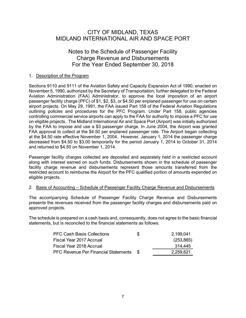## CITY OF MIDLAND, TEXAS MIDLAND INTERNATIONAL AIR AND SPACE PORT

## Notes to the Schedule of Passenger Facility Charge Revenue and Disbursements For the Year Ended September 30, 2018

#### 1. Description of the Program

Sections 9110 and 9111 of the Aviation Safety and Capacity Expansion Act of 1990, enacted on November 5, 1990, authorized by the Secretary of Transportation, further delegated to the Federal Aviation Administration (FAA) Administrator, to approve the local imposition of an airport passenger facility charge (PFC) of \$1, \$2, \$3, or \$4.50 per enplaned passenger for use on certain airport projects. On May 29, 1991, the FAA issued Part 158 of the Federal Aviation Regulations outlining policies and procedures for the PFC Program. Under Part 158, public agencies controlling commercial service airports can apply to the FAA for authority to impose a PFC for use on eligible projects. The Midland International Air and Space Port (Airport) was initially authorized by the FAA to impose and use a \$3 passenger charge. In June 2004, the Airport was granted FAA approval to collect at the \$4.50 per enplaned passenger rate. The Airport began collecting at the \$4.50 rate effective November 1, 2004. However, January 1, 2014 the passenger charge decreased from \$4.50 to \$3.00 temporarily for the period January 1, 2014 to October 31, 2014 and returned to \$4.50 on November 1, 2014.

Passenger facility charges collected are deposited and separately held in a restricted account along with interest earned on such funds. Disbursements shown in the schedule of passenger facility charge revenue and disbursements represent those amounts transferred from the restricted account to reimburse the Airport for the PFC qualified portion of amounts expended on eligible projects.

#### 2. Basis of Accounting - Schedule of Passenger Facility Charge Revenue and Disbursements

The accompanying Schedule of Passenger Facility Charge Revenue and Disbursements presents the revenues received from the passenger facility charges and disbursements paid on approved projects.

The schedule is prepared on a cash basis and, consequently, does not agree to the basic financial statements, but is reconciled to the financial statements as follows:

| <b>PFC Cash Basis Collections</b>           | S        | 2,199,041  |
|---------------------------------------------|----------|------------|
| Fiscal Year 2017 Accrual                    |          | (253, 865) |
| Fiscal Year 2018 Accrual                    |          | 314,445    |
| <b>PFC Revenue Per Financial Statements</b> | <b>R</b> | 2,259,621  |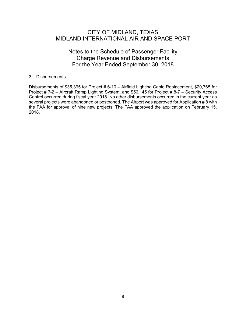## CITY OF MIDLAND, TEXAS MIDLAND INTERNATIONAL AIR AND SPACE PORT

## Notes to the Schedule of Passenger Facility Charge Revenue and Disbursements For the Year Ended September 30, 2018

#### 3. Disbursements

Disbursements of \$35,395 for Project # 6-10 – Airfield Lighting Cable Replacement, \$20,765 for Project # 7-2 – Aircraft Ramp Lighting System, and \$56,145 for Project # 8-7 – Security Access Control occurred during fiscal year 2018. No other disbursements occurred in the current year as several projects were abandoned or postponed. The Airport was approved for Application #8 with the FAA for approval of nine new projects. The FAA approved the application on February 15, 2018.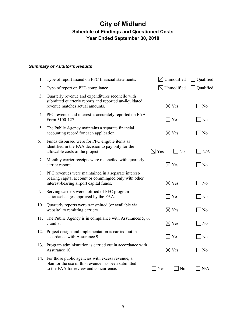# **City of Midland Schedule of Findings and Questioned Costs Year Ended September 30, 2018**

## *Summary of Auditor's Results*

| 1.  | Type of report issued on PFC financial statements.                                                                                                       | $\boxtimes$ Unmodified |    | Qualified       |
|-----|----------------------------------------------------------------------------------------------------------------------------------------------------------|------------------------|----|-----------------|
| 2.  | Type of report on PFC compliance.                                                                                                                        | $\boxtimes$ Unmodified |    | Qualified       |
| 3.  | Quarterly revenue and expenditures reconcile with<br>submitted quarterly reports and reported un-liquidated<br>revenue matches actual amounts.           | $\boxtimes$ Yes        |    | No              |
| 4.  | PFC revenue and interest is accurately reported on FAA<br>Form 5100-127.                                                                                 | $\boxtimes$ Yes        |    | No              |
| 5.  | The Public Agency maintains a separate financial<br>accounting record for each application.                                                              | $\boxtimes$ Yes        |    | $\overline{N}$  |
| 6.  | Funds disbursed were for PFC eligible items as<br>identified in the FAA decision to pay only for the<br>allowable costs of the project.                  | $\boxtimes$ Yes        | No | N/A             |
| 7.  | Monthly carrier receipts were reconciled with quarterly<br>carrier reports.                                                                              | $\boxtimes$ Yes        |    | N <sub>o</sub>  |
| 8.  | PFC revenues were maintained in a separate interest-<br>bearing capital account or commingled only with other<br>interest-bearing airport capital funds. | $\boxtimes$ Yes        |    | No              |
| 9.  | Serving carriers were notified of PFC program<br>actions/changes approved by the FAA.                                                                    | $\boxtimes$ Yes        |    | No              |
| 10. | Quarterly reports were transmitted (or available via<br>website) to remitting carriers.                                                                  | $\boxtimes$ Yes        |    | $\exists$ No    |
| 11. | The Public Agency is in compliance with Assurances 5, 6,<br>7 and 8.                                                                                     | $\boxtimes$ Yes        |    | No              |
| 12. | Project design and implementation is carried out in<br>accordance with Assurance 9.                                                                      | $\boxtimes$ Yes        |    | No              |
|     | 13. Program administration is carried out in accordance with<br>Assurance 10.                                                                            | $\boxtimes$ Yes        |    | No              |
|     | 14. For those public agencies with excess revenue, a<br>plan for the use of this revenue has been submitted<br>to the FAA for review and concurrence.    | Yes                    | No | $\boxtimes$ N/A |